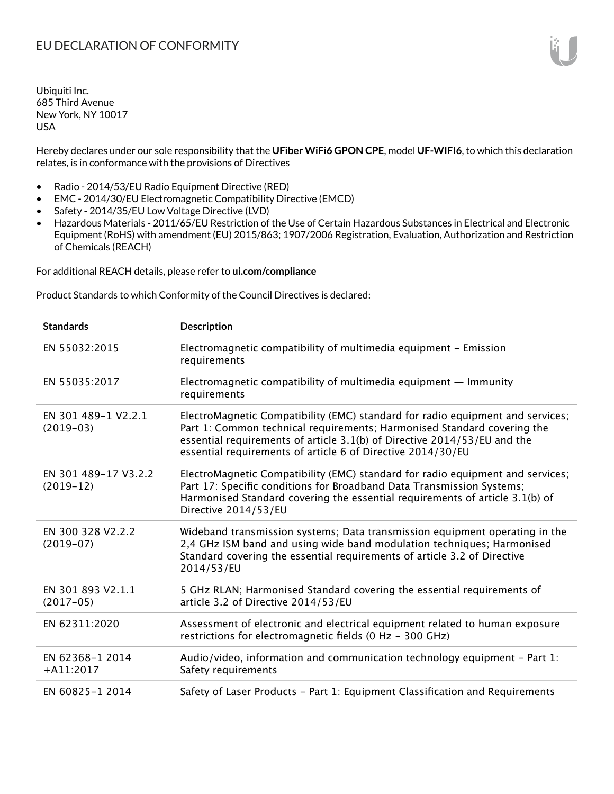Hereby declares under our sole responsibility that the **UFiber WiFi6 GPON CPE**, model **UF-WIFI6**, to which this declaration relates, is in conformance with the provisions of Directives

- Radio 2014/53/EU Radio Equipment Directive (RED)
- EMC 2014/30/EU Electromagnetic Compatibility Directive (EMCD)
- Safety 2014/35/EU Low Voltage Directive (LVD)
- Hazardous Materials 2011/65/EU Restriction of the Use of Certain Hazardous Substances in Electrical and Electronic Equipment (RoHS) with amendment (EU) 2015/863; 1907/2006 Registration, Evaluation, Authorization and Restriction of Chemicals (REACH)

For additional REACH details, please refer to **ui.com/compliance**

Product Standards to which Conformity of the Council Directives is declared:

| <b>Standards</b>                    | <b>Description</b>                                                                                                                                                                                                                                                                                   |
|-------------------------------------|------------------------------------------------------------------------------------------------------------------------------------------------------------------------------------------------------------------------------------------------------------------------------------------------------|
| EN 55032:2015                       | Electromagnetic compatibility of multimedia equipment - Emission<br>requirements                                                                                                                                                                                                                     |
| EN 55035:2017                       | Electromagnetic compatibility of multimedia equipment $-$ Immunity<br>requirements                                                                                                                                                                                                                   |
| EN 301 489-1 V2.2.1<br>$(2019-03)$  | ElectroMagnetic Compatibility (EMC) standard for radio equipment and services;<br>Part 1: Common technical requirements; Harmonised Standard covering the<br>essential requirements of article 3.1(b) of Directive 2014/53/EU and the<br>essential requirements of article 6 of Directive 2014/30/EU |
| EN 301 489-17 V3.2.2<br>$(2019-12)$ | ElectroMagnetic Compatibility (EMC) standard for radio equipment and services;<br>Part 17: Specific conditions for Broadband Data Transmission Systems;<br>Harmonised Standard covering the essential requirements of article 3.1(b) of<br>Directive 2014/53/EU                                      |
| EN 300 328 V2.2.2<br>$(2019-07)$    | Wideband transmission systems; Data transmission equipment operating in the<br>2,4 GHz ISM band and using wide band modulation techniques; Harmonised<br>Standard covering the essential requirements of article 3.2 of Directive<br>2014/53/EU                                                      |
| EN 301 893 V2.1.1<br>$(2017-05)$    | 5 GHz RLAN; Harmonised Standard covering the essential requirements of<br>article 3.2 of Directive 2014/53/EU                                                                                                                                                                                        |
| EN 62311:2020                       | Assessment of electronic and electrical equipment related to human exposure<br>restrictions for electromagnetic fields (0 Hz - 300 GHz)                                                                                                                                                              |
| EN 62368-1 2014<br>$+A11:2017$      | Audio/video, information and communication technology equipment - Part 1:<br>Safety requirements                                                                                                                                                                                                     |
| EN 60825-1 2014                     | Safety of Laser Products - Part 1: Equipment Classification and Requirements                                                                                                                                                                                                                         |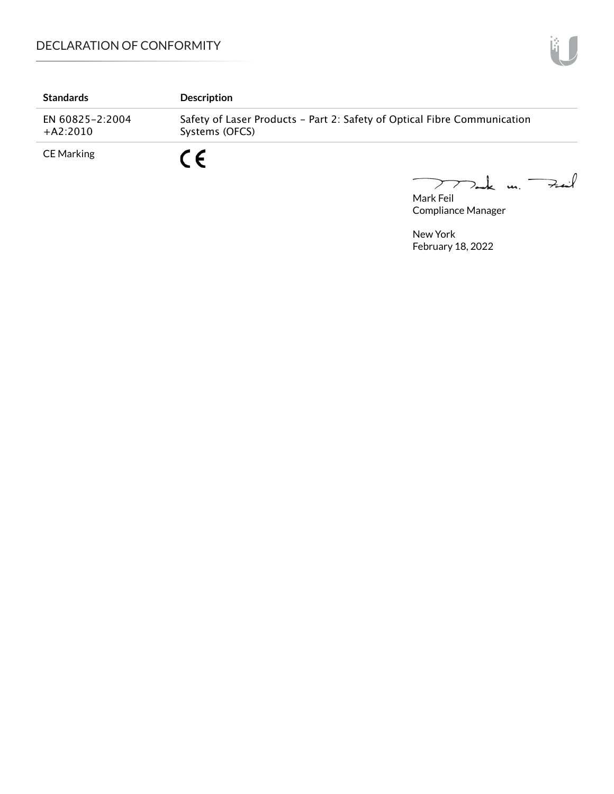| <b>Standards</b>              | <b>Description</b>                                                                         |
|-------------------------------|--------------------------------------------------------------------------------------------|
| EN 60825-2:2004<br>$+A2:2010$ | Safety of Laser Products - Part 2: Safety of Optical Fibre Communication<br>Systems (OFCS) |
| CE Marking                    | r c                                                                                        |

Mark Feil<br>Mark Feil

Compliance Manager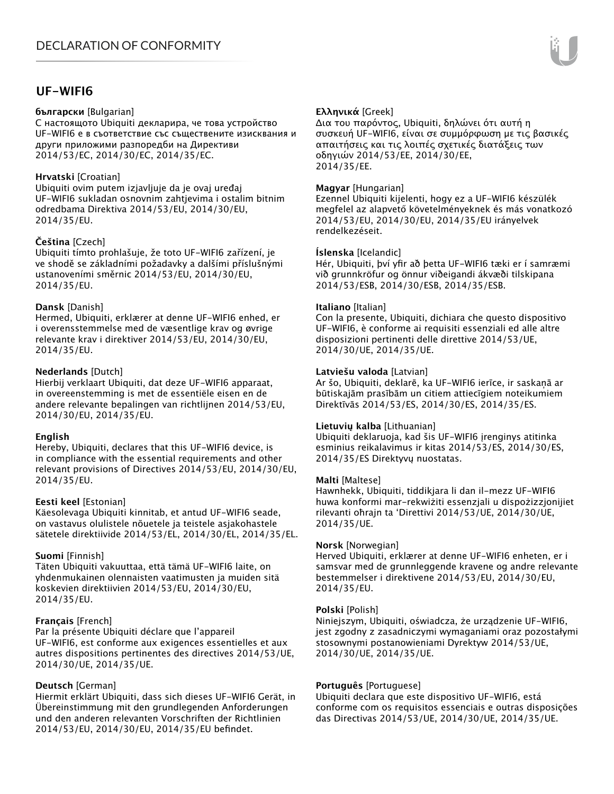## **UF-WIFI6**

#### **български** [Bulgarian]

С настоящото Ubiquiti декларира, че това устройство UF-WIFI6 е в съответствие със съществените изисквания и други приложими разпоредби на Директиви 2014/53/EC, 2014/30/ЕС, 2014/35/ЕС.

## **Hrvatski** [Croatian]

Ubiquiti ovim putem izjavljuje da je ovaj uređaj UF-WIFI6 sukladan osnovnim zahtjevima i ostalim bitnim odredbama Direktiva 2014/53/EU, 2014/30/EU, 2014/35/EU.

## **Čeština** [Czech]

Ubiquiti tímto prohlašuje, že toto UF-WIFI6 zařízení, je ve shodě se základními požadavky a dalšími příslušnými ustanoveními směrnic 2014/53/EU, 2014/30/EU, 2014/35/EU.

## **Dansk** [Danish]

Hermed, Ubiquiti, erklærer at denne UF-WIFI6 enhed, er i overensstemmelse med de væsentlige krav og øvrige relevante krav i direktiver 2014/53/EU, 2014/30/EU, 2014/35/EU.

## **Nederlands** [Dutch]

Hierbij verklaart Ubiquiti, dat deze UF-WIFI6 apparaat, in overeenstemming is met de essentiële eisen en de andere relevante bepalingen van richtlijnen 2014/53/EU, 2014/30/EU, 2014/35/EU.

## **English**

Hereby, Ubiquiti, declares that this UF-WIFI6 device, is in compliance with the essential requirements and other relevant provisions of Directives 2014/53/EU, 2014/30/EU, 2014/35/EU.

## **Eesti keel** [Estonian]

Käesolevaga Ubiquiti kinnitab, et antud UF-WIFI6 seade, on vastavus olulistele nõuetele ja teistele asjakohastele sätetele direktiivide 2014/53/EL, 2014/30/EL, 2014/35/EL.

## **Suomi** [Finnish]

Täten Ubiquiti vakuuttaa, että tämä UF-WIFI6 laite, on yhdenmukainen olennaisten vaatimusten ja muiden sitä koskevien direktiivien 2014/53/EU, 2014/30/EU, 2014/35/EU.

## **Français** [French]

Par la présente Ubiquiti déclare que l'appareil UF-WIFI6, est conforme aux exigences essentielles et aux autres dispositions pertinentes des directives 2014/53/UE, 2014/30/UE, 2014/35/UE.

## **Deutsch** [German]

Hiermit erklärt Ubiquiti, dass sich dieses UF-WIFI6 Gerät, in Übereinstimmung mit den grundlegenden Anforderungen und den anderen relevanten Vorschriften der Richtlinien 2014/53/EU, 2014/30/EU, 2014/35/EU befindet.

## **Ελληνικά** [Greek]

Δια του παρόντος, Ubiquiti, δηλώνει ότι αυτή η συσκευή UF-WIFI6, είναι σε συμμόρφωση με τις βασικές απαιτήσεις και τις λοιπές σχετικές διατάξεις των οδηγιών 2014/53/EE, 2014/30/EE, 2014/35/EE.

## **Magyar** [Hungarian]

Ezennel Ubiquiti kijelenti, hogy ez a UF-WIFI6 készülék megfelel az alapvető követelményeknek és más vonatkozó 2014/53/EU, 2014/30/EU, 2014/35/EU irányelvek rendelkezéseit.

#### **Íslenska** [Icelandic]

Hér, Ubiquiti, því yfir að þetta UF-WIFI6 tæki er í samræmi við grunnkröfur og önnur viðeigandi ákvæði tilskipana 2014/53/ESB, 2014/30/ESB, 2014/35/ESB.

#### **Italiano** [Italian]

Con la presente, Ubiquiti, dichiara che questo dispositivo UF-WIFI6, è conforme ai requisiti essenziali ed alle altre disposizioni pertinenti delle direttive 2014/53/UE, 2014/30/UE, 2014/35/UE.

#### **Latviešu valoda** [Latvian]

Ar šo, Ubiquiti, deklarē, ka UF-WIFI6 ierīce, ir saskaņā ar būtiskajām prasībām un citiem attiecīgiem noteikumiem Direktīvās 2014/53/ES, 2014/30/ES, 2014/35/ES.

## **Lietuvių kalba** [Lithuanian]

Ubiquiti deklaruoja, kad šis UF-WIFI6 įrenginys atitinka esminius reikalavimus ir kitas 2014/53/ES, 2014/30/ES, 2014/35/ES Direktyvų nuostatas.

## **Malti** [Maltese]

Hawnhekk, Ubiquiti, tiddikjara li dan il-mezz UF-WIFI6 huwa konformi mar-rekwiżiti essenzjali u dispożizzjonijiet rilevanti oħrajn ta 'Direttivi 2014/53/UE, 2014/30/UE, 2014/35/UE.

#### **Norsk** [Norwegian]

Herved Ubiquiti, erklærer at denne UF-WIFI6 enheten, er i samsvar med de grunnleggende kravene og andre relevante bestemmelser i direktivene 2014/53/EU, 2014/30/EU, 2014/35/EU.

#### **Polski** [Polish]

Niniejszym, Ubiquiti, oświadcza, że urządzenie UF-WIFI6, jest zgodny z zasadniczymi wymaganiami oraz pozostałymi stosownymi postanowieniami Dyrektyw 2014/53/UE, 2014/30/UE, 2014/35/UE.

## **Português** [Portuguese]

Ubiquiti declara que este dispositivo UF-WIFI6, está conforme com os requisitos essenciais e outras disposições das Directivas 2014/53/UE, 2014/30/UE, 2014/35/UE.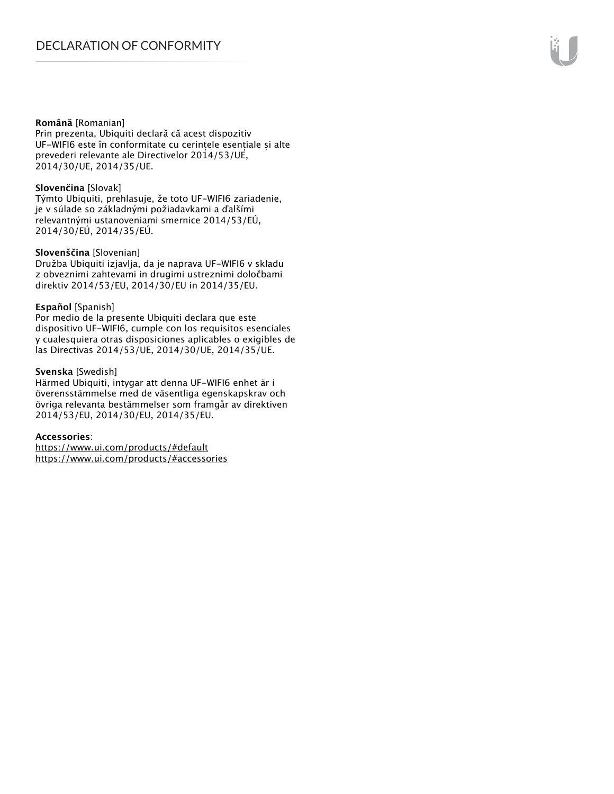#### **Română** [Romanian]

Prin prezenta, Ubiquiti declară că acest dispozitiv UF-WIFI6 este în conformitate cu cerințele esențiale și alte prevederi relevante ale Directivelor 2014/53/UE, 2014/30/UE, 2014/35/UE.

## **Slovenčina** [Slovak]

Týmto Ubiquiti, prehlasuje, že toto UF-WIFI6 zariadenie, je v súlade so základnými požiadavkami a ďalšími relevantnými ustanoveniami smernice 2014/53/EÚ, 2014/30/EÚ, 2014/35/EÚ.

#### **Slovenščina** [Slovenian]

Družba Ubiquiti izjavlja, da je naprava UF-WIFI6 v skladu z obveznimi zahtevami in drugimi ustreznimi določbami direktiv 2014/53/EU, 2014/30/EU in 2014/35/EU.

#### **Español** [Spanish]

Por medio de la presente Ubiquiti declara que este dispositivo UF-WIFI6, cumple con los requisitos esenciales y cualesquiera otras disposiciones aplicables o exigibles de las Directivas 2014/53/UE, 2014/30/UE, 2014/35/UE.

#### **Svenska** [Swedish]

Härmed Ubiquiti, intygar att denna UF-WIFI6 enhet är i överensstämmelse med de väsentliga egenskapskrav och övriga relevanta bestämmelser som framgår av direktiven 2014/53/EU, 2014/30/EU, 2014/35/EU.

#### **Accessories**:

https://www.ui.com/products/#default https://www.ui.com/products/#accessories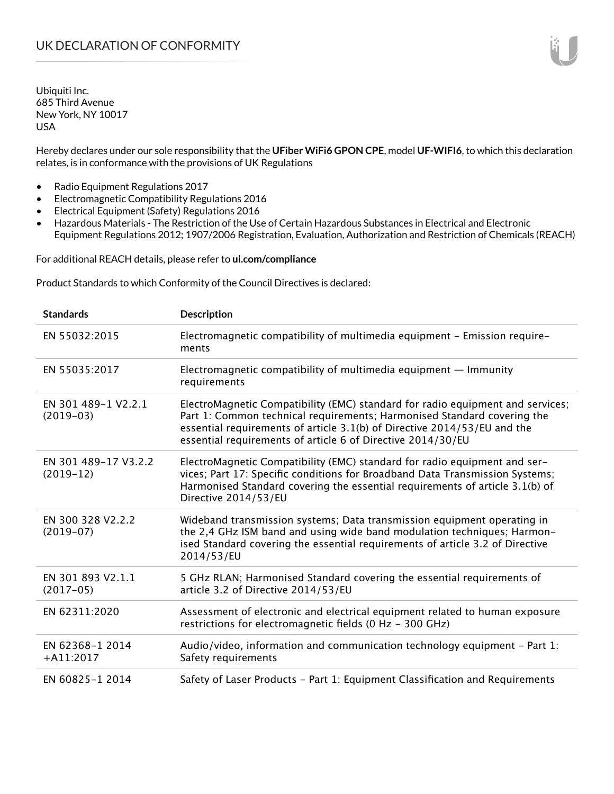Hereby declares under our sole responsibility that the **UFiber WiFi6 GPON CPE**, model **UF-WIFI6**, to which this declaration relates, is in conformance with the provisions of UK Regulations

- Radio Equipment Regulations 2017
- Electromagnetic Compatibility Regulations 2016
- Electrical Equipment (Safety) Regulations 2016
- Hazardous Materials The Restriction of the Use of Certain Hazardous Substances in Electrical and Electronic Equipment Regulations 2012; 1907/2006 Registration, Evaluation, Authorization and Restriction of Chemicals (REACH)

For additional REACH details, please refer to **ui.com/compliance**

Product Standards to which Conformity of the Council Directives is declared:

| <b>Standards</b>                    | <b>Description</b>                                                                                                                                                                                                                                                                                   |
|-------------------------------------|------------------------------------------------------------------------------------------------------------------------------------------------------------------------------------------------------------------------------------------------------------------------------------------------------|
| EN 55032:2015                       | Electromagnetic compatibility of multimedia equipment - Emission require-<br>ments                                                                                                                                                                                                                   |
| EN 55035:2017                       | Electromagnetic compatibility of multimedia equipment - Immunity<br>requirements                                                                                                                                                                                                                     |
| EN 301 489-1 V2.2.1<br>$(2019-03)$  | ElectroMagnetic Compatibility (EMC) standard for radio equipment and services;<br>Part 1: Common technical requirements; Harmonised Standard covering the<br>essential requirements of article 3.1(b) of Directive 2014/53/EU and the<br>essential requirements of article 6 of Directive 2014/30/EU |
| EN 301 489-17 V3.2.2<br>$(2019-12)$ | ElectroMagnetic Compatibility (EMC) standard for radio equipment and ser-<br>vices; Part 17: Specific conditions for Broadband Data Transmission Systems;<br>Harmonised Standard covering the essential requirements of article 3.1(b) of<br>Directive 2014/53/EU                                    |
| EN 300 328 V2.2.2<br>$(2019-07)$    | Wideband transmission systems; Data transmission equipment operating in<br>the 2,4 GHz ISM band and using wide band modulation techniques; Harmon-<br>ised Standard covering the essential requirements of article 3.2 of Directive<br>2014/53/EU                                                    |
| EN 301 893 V2.1.1<br>$(2017-05)$    | 5 GHz RLAN; Harmonised Standard covering the essential requirements of<br>article 3.2 of Directive 2014/53/EU                                                                                                                                                                                        |
| EN 62311:2020                       | Assessment of electronic and electrical equipment related to human exposure<br>restrictions for electromagnetic fields (0 Hz - 300 GHz)                                                                                                                                                              |
| EN 62368-1 2014<br>$+A11:2017$      | Audio/video, information and communication technology equipment - Part 1:<br>Safety requirements                                                                                                                                                                                                     |
| EN 60825-1 2014                     | Safety of Laser Products - Part 1: Equipment Classification and Requirements                                                                                                                                                                                                                         |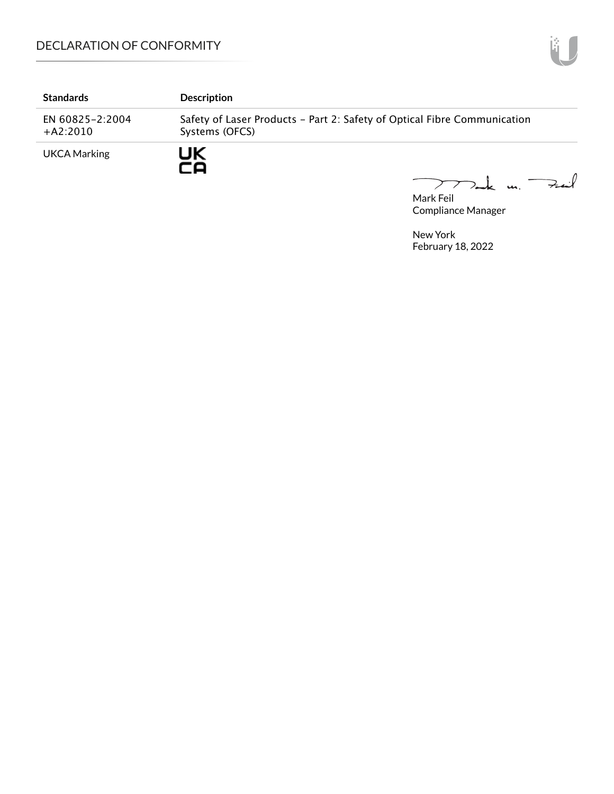| <b>Standards</b>              | <b>Description</b>                                                                         |  |
|-------------------------------|--------------------------------------------------------------------------------------------|--|
| EN 60825-2:2004<br>$+A2:2010$ | Safety of Laser Products - Part 2: Safety of Optical Fibre Communication<br>Systems (OFCS) |  |
| UKCA Marking                  | JK                                                                                         |  |

mak m. Fail

Mark Feil Compliance Manager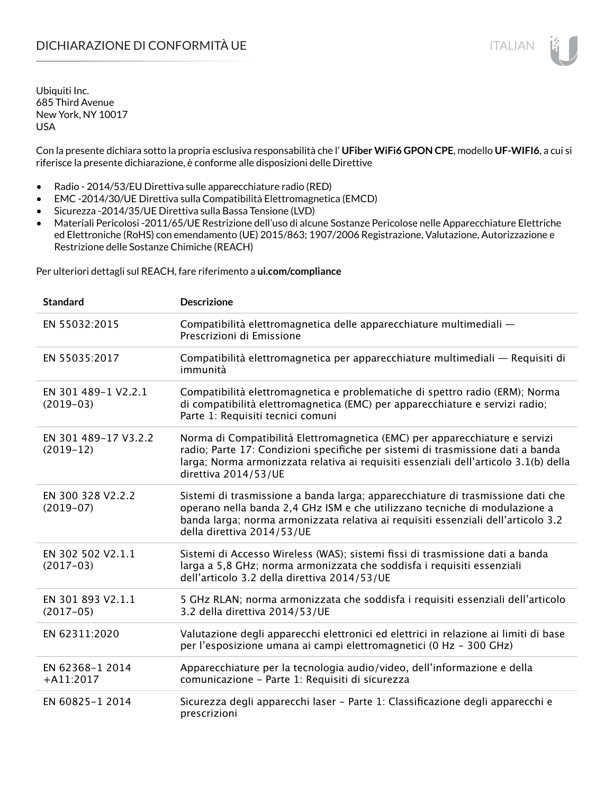Con la presente dichiara sotto la propria esclusiva responsabilità che l' **UFiber WiFi6 GPON CPE**, modello **UF-WIFI6**, a cui si riferisce la presente dichiarazione, è conforme alle disposizioni delle Direttive

- Radio 2014/53/EU Direttiva sulle apparecchiature radio (RED)
- EMC -2014/30/UE Direttiva sulla Compatibilità Elettromagnetica (EMCD)
- Sicurezza -2014/35/UE Direttiva sulla Bassa Tensione (LVD)
- Materiali Pericolosi -2011/65/UE Restrizione dell'uso di alcune Sostanze Pericolose nelle Apparecchiature Elettriche ed Elettroniche (RoHS) con emendamento (UE) 2015/863; 1907/2006 Registrazione, Valutazione, Autorizzazione e Restrizione delle Sostanze Chimiche (REACH)

Per ulteriori dettagli sul REACH, fare riferimento a **ui.com/compliance**

| <b>Standard</b>                     | <b>Descrizione</b>                                                                                                                                                                                                                                                               |
|-------------------------------------|----------------------------------------------------------------------------------------------------------------------------------------------------------------------------------------------------------------------------------------------------------------------------------|
| EN 55032:2015                       | Compatibilità elettromagnetica delle apparecchiature multimediali -<br>Prescrizioni di Emissione                                                                                                                                                                                 |
| EN 55035:2017                       | Compatibilità elettromagnetica per apparecchiature multimediali — Requisiti di<br>immunità                                                                                                                                                                                       |
| EN 301 489-1 V2.2.1<br>$(2019-03)$  | Compatibilità elettromagnetica e problematiche di spettro radio (ERM); Norma<br>di compatibilità elettromagnetica (EMC) per apparecchiature e servizi radio;<br>Parte 1: Requisiti tecnici comuni                                                                                |
| EN 301 489-17 V3.2.2<br>$(2019-12)$ | Norma di Compatibilità Elettromagnetica (EMC) per apparecchiature e servizi<br>radio; Parte 17: Condizioni specifiche per sistemi di trasmissione dati a banda<br>larga; Norma armonizzata relativa ai requisiti essenziali dell'articolo 3.1(b) della<br>direttiva 2014/53/UE   |
| EN 300 328 V2.2.2<br>$(2019-07)$    | Sistemi di trasmissione a banda larga; apparecchiature di trasmissione dati che<br>operano nella banda 2,4 GHz ISM e che utilizzano tecniche di modulazione a<br>banda larga; norma armonizzata relativa ai requisiti essenziali dell'articolo 3.2<br>della direttiva 2014/53/UE |
| EN 302 502 V2.1.1<br>$(2017-03)$    | Sistemi di Accesso Wireless (WAS); sistemi fissi di trasmissione dati a banda<br>larga a 5,8 GHz; norma armonizzata che soddisfa i requisiti essenziali<br>dell'articolo 3.2 della direttiva 2014/53/UE                                                                          |
| EN 301 893 V2.1.1<br>$(2017-05)$    | 5 GHz RLAN; norma armonizzata che soddisfa i requisiti essenziali dell'articolo<br>3.2 della direttiva 2014/53/UE                                                                                                                                                                |
| EN 62311:2020                       | Valutazione degli apparecchi elettronici ed elettrici in relazione ai limiti di base<br>per l'esposizione umana ai campi elettromagnetici (0 Hz - 300 GHz)                                                                                                                       |
| EN 62368-1 2014<br>$+A11:2017$      | Apparecchiature per la tecnologia audio/video, dell'informazione e della<br>comunicazione - Parte 1: Requisiti di sicurezza                                                                                                                                                      |
| EN 60825-1 2014                     | Sicurezza degli apparecchi laser - Parte 1: Classificazione degli apparecchi e<br>prescrizioni                                                                                                                                                                                   |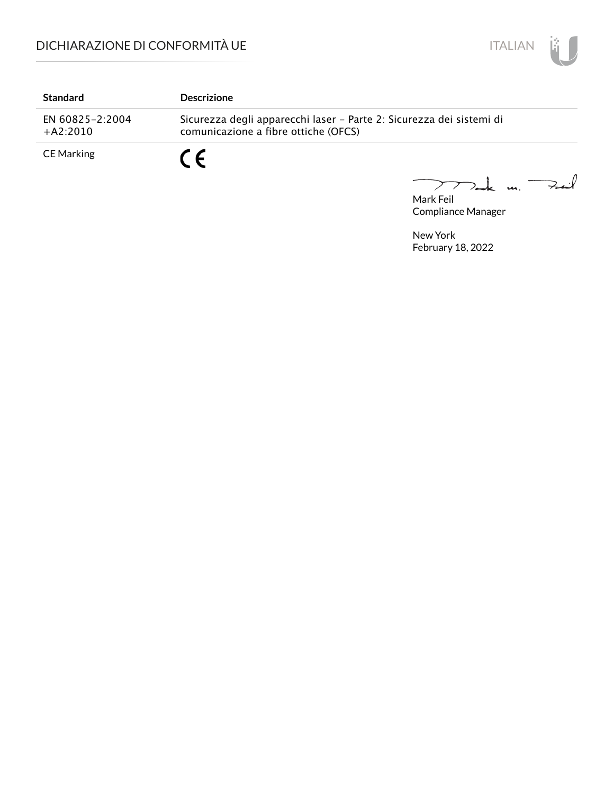

| <b>Standard</b>               | <b>Descrizione</b>                                                                                           |
|-------------------------------|--------------------------------------------------------------------------------------------------------------|
| EN 60825-2:2004<br>$+A2:2010$ | Sicurezza degli apparecchi laser – Parte 2: Sicurezza dei sistemi di<br>comunicazione a fibre ottiche (OFCS) |
| CE Marking                    |                                                                                                              |

Mark Feil u. <del>Zuil</del>  $\overbrace{\phantom{aaaaa}}^{x}$ 

Compliance Manager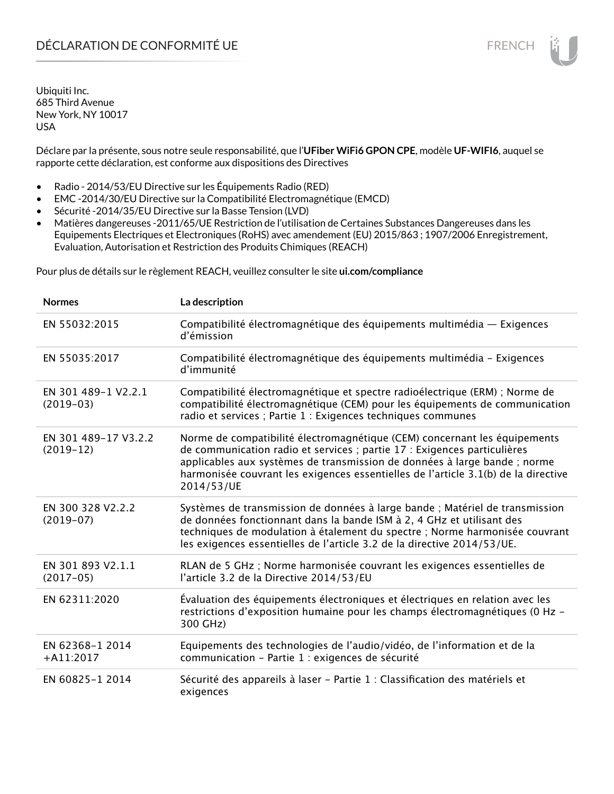Déclare par la présente, sous notre seule responsabilité, que l'**UFiber WiFi6 GPON CPE**, modèle **UF-WIFI6**, auquel se rapporte cette déclaration, est conforme aux dispositions des Directives

- Radio 2014/53/EU Directive sur les Équipements Radio (RED)
- EMC -2014/30/EU Directive sur la Compatibilité Electromagnétique (EMCD)
- Sécurité -2014/35/EU Directive sur la Basse Tension (LVD)
- Matières dangereuses -2011/65/UE Restriction de l'utilisation de Certaines Substances Dangereuses dans les Equipements Electriques et Electroniques (RoHS) avec amendement (EU) 2015/863 ; 1907/2006 Enregistrement, Evaluation, Autorisation et Restriction des Produits Chimiques (REACH)

Pour plus de détails sur le règlement REACH, veuillez consulter le site **ui.com/compliance**

| <b>Normes</b>                       | La description                                                                                                                                                                                                                                                                                                                         |
|-------------------------------------|----------------------------------------------------------------------------------------------------------------------------------------------------------------------------------------------------------------------------------------------------------------------------------------------------------------------------------------|
| EN 55032:2015                       | Compatibilité électromagnétique des équipements multimédia — Exigences<br>d'émission                                                                                                                                                                                                                                                   |
| EN 55035:2017                       | Compatibilité électromagnétique des équipements multimédia - Exigences<br>d'immunité                                                                                                                                                                                                                                                   |
| EN 301 489-1 V2.2.1<br>$(2019-03)$  | Compatibilité électromagnétique et spectre radioélectrique (ERM) ; Norme de<br>compatibilité électromagnétique (CEM) pour les équipements de communication<br>radio et services ; Partie 1 : Exigences techniques communes                                                                                                             |
| EN 301 489-17 V3.2.2<br>$(2019-12)$ | Norme de compatibilité électromagnétique (CEM) concernant les équipements<br>de communication radio et services ; partie 17 : Exigences particulières<br>applicables aux systèmes de transmission de données à large bande ; norme<br>harmonisée couvrant les exigences essentielles de l'article 3.1(b) de la directive<br>2014/53/UE |
| EN 300 328 V2.2.2<br>$(2019-07)$    | Systèmes de transmission de données à large bande ; Matériel de transmission<br>de données fonctionnant dans la bande ISM à 2, 4 GHz et utilisant des<br>techniques de modulation à étalement du spectre ; Norme harmonisée couvrant<br>les exigences essentielles de l'article 3.2 de la directive 2014/53/UE.                        |
| EN 301 893 V2.1.1<br>$(2017-05)$    | RLAN de 5 GHz ; Norme harmonisée couvrant les exigences essentielles de<br>l'article 3.2 de la Directive 2014/53/EU                                                                                                                                                                                                                    |
| EN 62311:2020                       | Évaluation des équipements électroniques et électriques en relation avec les<br>restrictions d'exposition humaine pour les champs électromagnétiques (0 Hz -<br>300 GHz)                                                                                                                                                               |
| EN 62368-1 2014<br>$+A11:2017$      | Equipements des technologies de l'audio/vidéo, de l'information et de la<br>communication - Partie 1 : exigences de sécurité                                                                                                                                                                                                           |
| EN 60825-1 2014                     | Sécurité des appareils à laser - Partie 1 : Classification des matériels et<br>exigences                                                                                                                                                                                                                                               |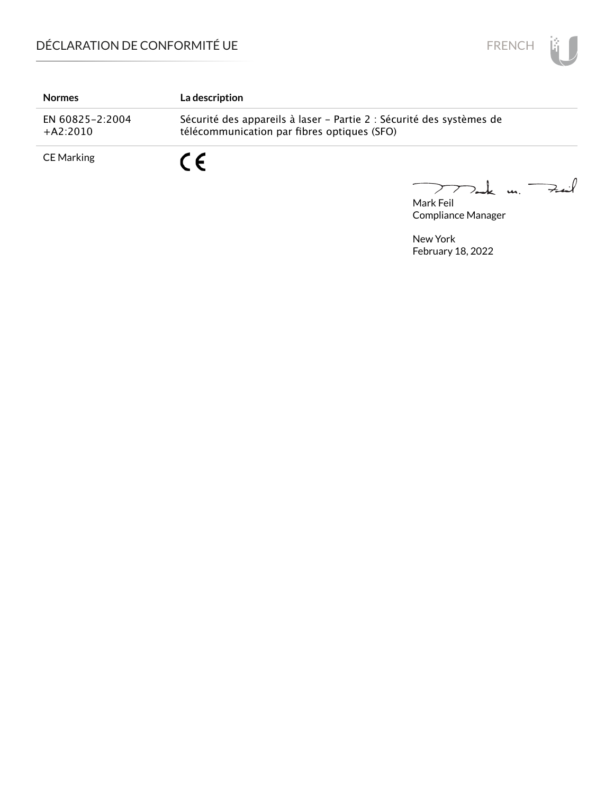

| <b>Normes</b>                 | La description                                                                                                      |
|-------------------------------|---------------------------------------------------------------------------------------------------------------------|
| EN 60825-2:2004<br>$+A2:2010$ | Sécurité des appareils à laser - Partie 2 : Sécurité des systèmes de<br>télécommunication par fibres optiques (SFO) |
| CE Marking                    |                                                                                                                     |

Mark Feil<br>Mark Feil  $\overline{\phantom{0}}$ 

Compliance Manager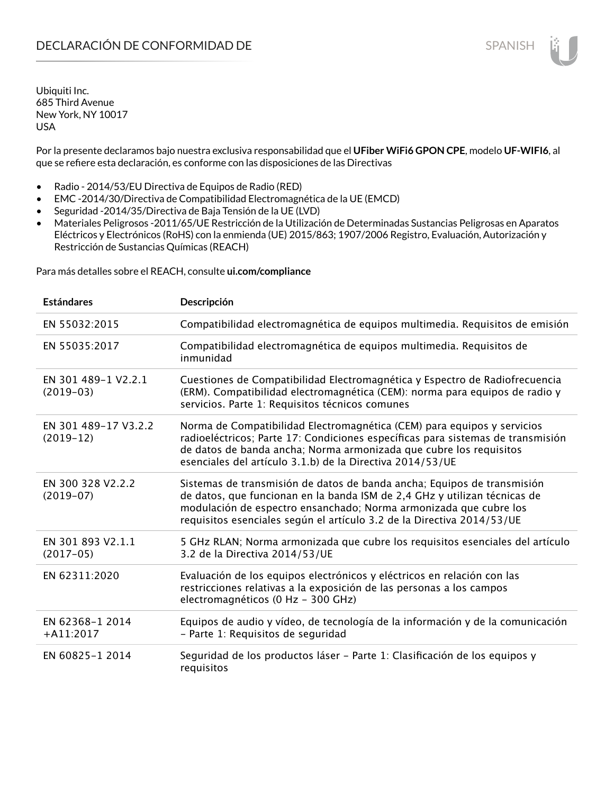Por la presente declaramos bajo nuestra exclusiva responsabilidad que el **UFiber WiFi6 GPON CPE**, modelo **UF-WIFI6**, al que se refiere esta declaración, es conforme con las disposiciones de las Directivas

- Radio 2014/53/EU Directiva de Equipos de Radio (RED)
- EMC -2014/30/Directiva de Compatibilidad Electromagnética de la UE (EMCD)
- Seguridad -2014/35/Directiva de Baja Tensión de la UE (LVD)
- Materiales Peligrosos -2011/65/UE Restricción de la Utilización de Determinadas Sustancias Peligrosas en Aparatos Eléctricos y Electrónicos (RoHS) con la enmienda (UE) 2015/863; 1907/2006 Registro, Evaluación, Autorización y Restricción de Sustancias Químicas (REACH)

Para más detalles sobre el REACH, consulte **ui.com/compliance**

| <b>Estándares</b>                   | Descripción                                                                                                                                                                                                                                                                                         |
|-------------------------------------|-----------------------------------------------------------------------------------------------------------------------------------------------------------------------------------------------------------------------------------------------------------------------------------------------------|
| EN 55032:2015                       | Compatibilidad electromagnética de equipos multimedia. Requisitos de emisión                                                                                                                                                                                                                        |
| EN 55035:2017                       | Compatibilidad electromagnética de equipos multimedia. Requisitos de<br>inmunidad                                                                                                                                                                                                                   |
| EN 301 489-1 V2.2.1<br>$(2019-03)$  | Cuestiones de Compatibilidad Electromagnética y Espectro de Radiofrecuencia<br>(ERM). Compatibilidad electromagnética (CEM): norma para equipos de radio y<br>servicios. Parte 1: Requisitos técnicos comunes                                                                                       |
| EN 301 489-17 V3.2.2<br>$(2019-12)$ | Norma de Compatibilidad Electromagnética (CEM) para equipos y servicios<br>radioeléctricos; Parte 17: Condiciones específicas para sistemas de transmisión<br>de datos de banda ancha; Norma armonizada que cubre los requisitos<br>esenciales del artículo 3.1.b) de la Directiva 2014/53/UE       |
| EN 300 328 V2.2.2<br>$(2019-07)$    | Sistemas de transmisión de datos de banda ancha; Equipos de transmisión<br>de datos, que funcionan en la banda ISM de 2,4 GHz y utilizan técnicas de<br>modulación de espectro ensanchado; Norma armonizada que cubre los<br>requisitos esenciales según el artículo 3.2 de la Directiva 2014/53/UE |
| EN 301 893 V2.1.1<br>$(2017-05)$    | 5 GHz RLAN; Norma armonizada que cubre los requisitos esenciales del artículo<br>3.2 de la Directiva 2014/53/UE                                                                                                                                                                                     |
| EN 62311:2020                       | Evaluación de los equipos electrónicos y eléctricos en relación con las<br>restricciones relativas a la exposición de las personas a los campos<br>electromagnéticos (0 Hz - 300 GHz)                                                                                                               |
| EN 62368-1 2014<br>$+A11:2017$      | Equipos de audio y vídeo, de tecnología de la información y de la comunicación<br>- Parte 1: Requisitos de seguridad                                                                                                                                                                                |
| EN 60825-1 2014                     | Seguridad de los productos láser - Parte 1: Clasificación de los equipos y<br>requisitos                                                                                                                                                                                                            |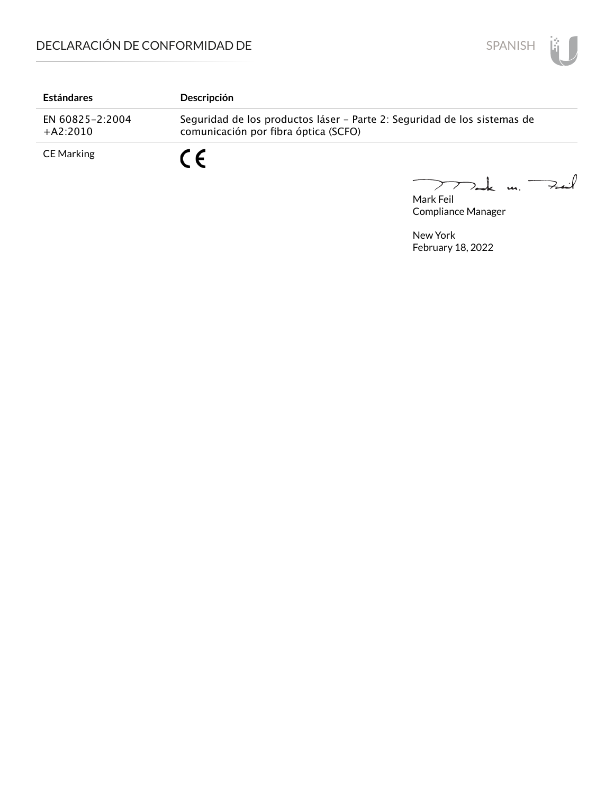

| <b>Estándares</b>             | Descripción                                                                                                      |
|-------------------------------|------------------------------------------------------------------------------------------------------------------|
| EN 60825-2:2004<br>$+A2:2010$ | Seguridad de los productos láser - Parte 2: Seguridad de los sistemas de<br>comunicación por fibra óptica (SCFO) |
| CE Marking                    |                                                                                                                  |

Mark Feil u. <del>Zuil</del>  $\overline{\phantom{0}}$ 

Compliance Manager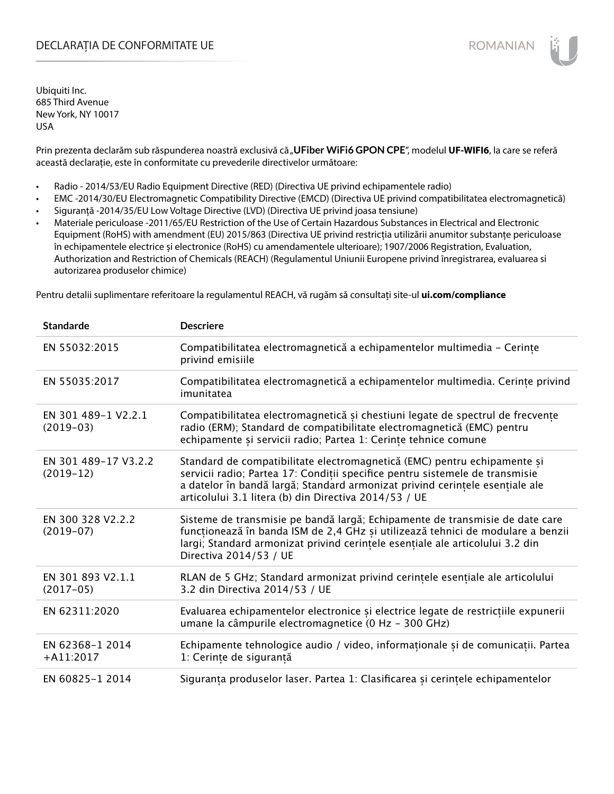## DECLARAȚIA DE CONFORMITATE UE EXECUTE DE ROMANIAN

Ubiquiti Inc. 685 Third Avenue New York, NY 10017 USA

Prin prezenta declarăm sub răspunderea noastră exclusivă că "**UFiber WiFi6 GPON CPE"**, modelul **UF-WIFI6**, la care se referă această declarație, este în conformitate cu prevederile directivelor următoare:

- Radio 2014/53/EU Radio Equipment Directive (RED) (Directiva UE privind echipamentele radio)
- EMC -2014/30/EU Electromagnetic Compatibility Directive (EMCD) (Directiva UE privind compatibilitatea electromagnetică)
- Siguranță -2014/35/EU Low Voltage Directive (LVD) (Directiva UE privind joasa tensiune)
- Materiale periculoase -2011/65/EU Restriction of the Use of Certain Hazardous Substances in Electrical and Electronic Equipment (RoHS) with amendment (EU) 2015/863 (Directiva UE privind restricția utilizării anumitor substanțe periculoase în echipamentele electrice și electronice (RoHS) cu amendamentele ulterioare); 1907/2006 Registration, Evaluation, Authorization and Restriction of Chemicals (REACH) (Regulamentul Uniunii Europene privind înregistrarea, evaluarea si autorizarea produselor chimice)

Pentru detalii suplimentare referitoare la regulamentul REACH, vă rugăm să consultați site-ul **ui.com/compliance**

| <b>Standarde</b>                    | <b>Descriere</b>                                                                                                                                                                                                                                                                                  |
|-------------------------------------|---------------------------------------------------------------------------------------------------------------------------------------------------------------------------------------------------------------------------------------------------------------------------------------------------|
| EN 55032:2015                       | Compatibilitatea electromagnetică a echipamentelor multimedia - Cerințe<br>privind emisiile                                                                                                                                                                                                       |
| EN 55035:2017                       | Compatibilitatea electromagnetică a echipamentelor multimedia. Cerințe privind<br>imunitatea                                                                                                                                                                                                      |
| EN 301 489-1 V2.2.1<br>$(2019-03)$  | Compatibilitatea electromagnetică și chestiuni legate de spectrul de frecvențe<br>radio (ERM); Standard de compatibilitate electromagnetică (EMC) pentru<br>echipamente și servicii radio; Partea 1: Cerințe tehnice comune                                                                       |
| EN 301 489-17 V3.2.2<br>$(2019-12)$ | Standard de compatibilitate electromagnetică (EMC) pentru echipamente și<br>servicii radio; Partea 17: Condiții specifice pentru sistemele de transmisie<br>a datelor în bandă largă; Standard armonizat privind cerințele esențiale ale<br>articolului 3.1 litera (b) din Directiva 2014/53 / UE |
| EN 300 328 V2.2.2<br>$(2019-07)$    | Sisteme de transmisie pe bandă largă; Echipamente de transmisie de date care<br>funcționează în banda ISM de 2,4 GHz și utilizează tehnici de modulare a benzii<br>largi; Standard armonizat privind cerințele esențiale ale articolului 3.2 din<br>Directiva 2014/53 / UE                        |
| EN 301 893 V2.1.1<br>$(2017-05)$    | RLAN de 5 GHz; Standard armonizat privind cerințele esențiale ale articolului<br>3.2 din Directiva 2014/53 / UE                                                                                                                                                                                   |
| EN 62311:2020                       | Evaluarea echipamentelor electronice și electrice legate de restricțiile expunerii<br>umane la câmpurile electromagnetice (0 Hz - 300 GHz)                                                                                                                                                        |
| EN 62368-1 2014<br>$+A11:2017$      | Echipamente tehnologice audio / video, informaționale și de comunicații. Partea<br>1: Cerințe de siguranță                                                                                                                                                                                        |
| EN 60825-1 2014                     | Siguranța produselor laser. Partea 1: Clasificarea și cerințele echipamentelor                                                                                                                                                                                                                    |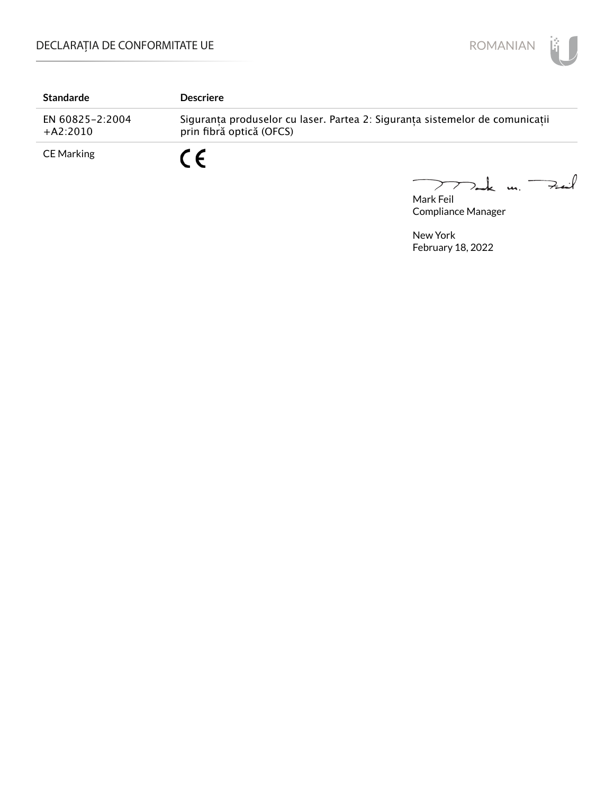

| <b>Standarde</b>              | <b>Descriere</b>                                                                                         |
|-------------------------------|----------------------------------------------------------------------------------------------------------|
| EN 60825-2:2004<br>$+A2:2010$ | Siguranța produselor cu laser. Partea 2: Siguranța sistemelor de comunicații<br>prin fibră optică (OFCS) |
| CE Marking                    | r c                                                                                                      |

Mark Feil u. <del>Zuil</del>  $\overline{\phantom{0}}$ 

Compliance Manager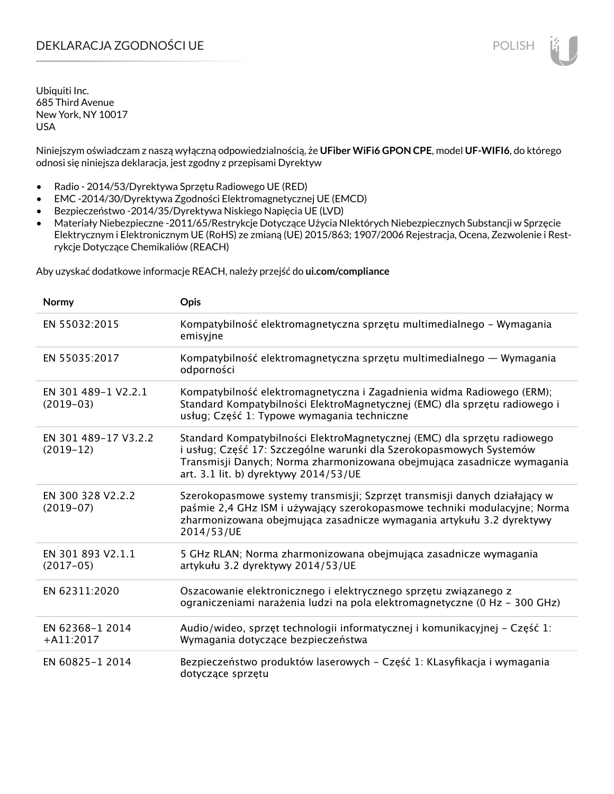# DEKLARACJA ZGODNOŚCI UE POLISH POLISH

Ubiquiti Inc. 685 Third Avenue New York, NY 10017 USA

Niniejszym oświadczam z naszą wyłączną odpowiedzialnością, że **UFiber WiFi6 GPON CPE**, model **UF-WIFI6**, do którego odnosi się niniejsza deklaracja, jest zgodny z przepisami Dyrektyw

- Radio 2014/53/Dyrektywa Sprzętu Radiowego UE (RED)
- EMC -2014/30/Dyrektywa Zgodności Elektromagnetycznej UE (EMCD)
- Bezpieczeństwo -2014/35/Dyrektywa Niskiego Napięcia UE (LVD)
- Materiały Niebezpieczne -2011/65/Restrykcje Dotyczące Użycia NIektórych Niebezpiecznych Substancji w Sprzęcie Elektrycznym i Elektronicznym UE (RoHS) ze zmianą (UE) 2015/863; 1907/2006 Rejestracja, Ocena, Zezwolenie i Restrykcje Dotyczące Chemikaliów (REACH)

Aby uzyskać dodatkowe informacje REACH, należy przejść do **ui.com/compliance**

| Normy                               | <b>Opis</b>                                                                                                                                                                                                                                                         |
|-------------------------------------|---------------------------------------------------------------------------------------------------------------------------------------------------------------------------------------------------------------------------------------------------------------------|
| EN 55032:2015                       | Kompatybilność elektromagnetyczna sprzętu multimedialnego – Wymagania<br>emisyjne                                                                                                                                                                                   |
| EN 55035:2017                       | Kompatybilność elektromagnetyczna sprzętu multimedialnego — Wymagania<br>odporności                                                                                                                                                                                 |
| EN 301 489-1 V2.2.1<br>$(2019-03)$  | Kompatybilność elektromagnetyczna i Zagadnienia widma Radiowego (ERM);<br>Standard Kompatybilności ElektroMagnetycznej (EMC) dla sprzętu radiowego i<br>usług; Część 1: Typowe wymagania techniczne                                                                 |
| EN 301 489-17 V3.2.2<br>$(2019-12)$ | Standard Kompatybilności ElektroMagnetycznej (EMC) dla sprzętu radiowego<br>i usług; Część 17: Szczególne warunki dla Szerokopasmowych Systemów<br>Transmisji Danych; Norma zharmonizowana obejmująca zasadnicze wymagania<br>art. 3.1 lit. b) dyrektywy 2014/53/UE |
| EN 300 328 V2.2.2<br>$(2019-07)$    | Szerokopasmowe systemy transmisji; Szprzęt transmisji danych działający w<br>paśmie 2,4 GHz ISM i używający szerokopasmowe techniki modulacyjne; Norma<br>zharmonizowana obejmująca zasadnicze wymagania artykułu 3.2 dyrektywy<br>2014/53/UE                       |
| EN 301 893 V2.1.1<br>$(2017-05)$    | 5 GHz RLAN; Norma zharmonizowana obejmująca zasadnicze wymagania<br>artykułu 3.2 dyrektywy 2014/53/UE                                                                                                                                                               |
| EN 62311:2020                       | Oszacowanie elektronicznego i elektrycznego sprzętu związanego z<br>ograniczeniami narażenia ludzi na pola elektromagnetyczne (0 Hz - 300 GHz)                                                                                                                      |
| EN 62368-1 2014<br>$+A11:2017$      | Audio/wideo, sprzęt technologii informatycznej i komunikacyjnej – Część 1:<br>Wymagania dotyczące bezpieczeństwa                                                                                                                                                    |
| EN 60825-1 2014                     | Bezpieczeństwo produktów laserowych – Część 1: KLasyfikacja i wymagania<br>dotyczące sprzętu                                                                                                                                                                        |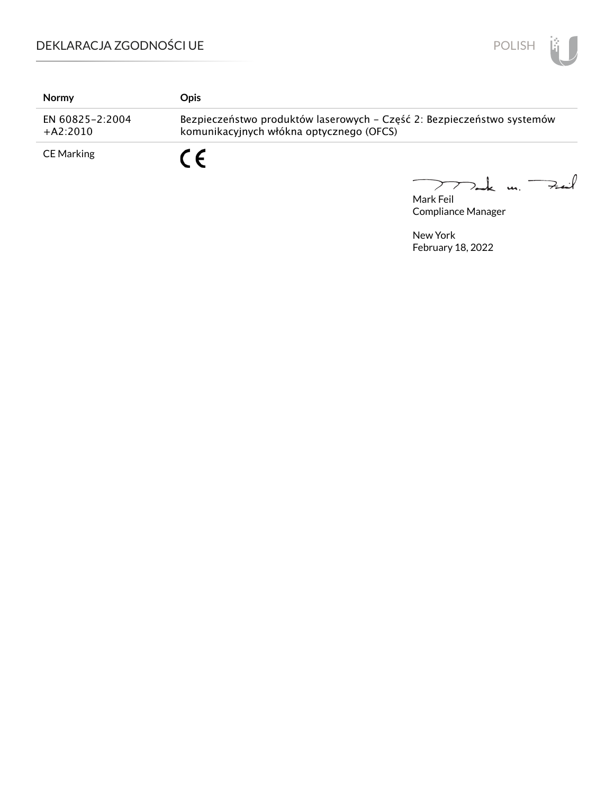

| Normy                         | Opis                                                                                                               |
|-------------------------------|--------------------------------------------------------------------------------------------------------------------|
| EN 60825-2:2004<br>$+A2:2010$ | Bezpieczeństwo produktów laserowych - Część 2: Bezpieczeństwo systemów<br>komunikacyjnych włókna optycznego (OFCS) |
| <b>CE Marking</b>             | C F                                                                                                                |

Mak m. Fuil  $\overline{\phantom{0}}$ 

Mark Feil Compliance Manager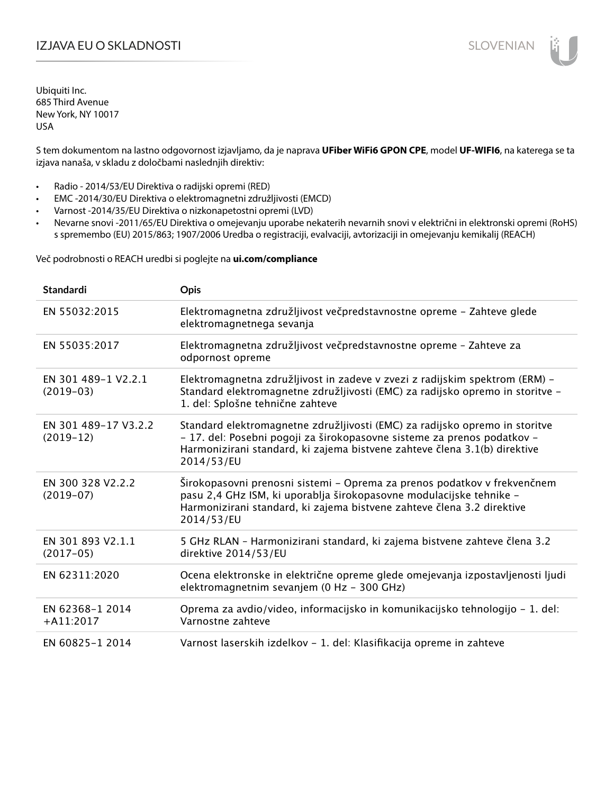# IZJAVA EU O SKLADNOSTI SLOVENIAN

Ubiquiti Inc. 685 Third Avenue New York, NY 10017 USA

S tem dokumentom na lastno odgovornost izjavljamo, da je naprava **UFiber WiFi6 GPON CPE**, model **UF-WIFI6**, na katerega se ta izjava nanaša, v skladu z določbami naslednjih direktiv:

- Radio 2014/53/EU Direktiva o radijski opremi (RED)
- EMC -2014/30/EU Direktiva o elektromagnetni združljivosti (EMCD)
- Varnost -2014/35/EU Direktiva o nizkonapetostni opremi (LVD)
- Nevarne snovi -2011/65/EU Direktiva o omejevanju uporabe nekaterih nevarnih snovi v električni in elektronski opremi (RoHS) s spremembo (EU) 2015/863; 1907/2006 Uredba o registraciji, evalvaciji, avtorizaciji in omejevanju kemikalij (REACH)

Več podrobnosti o REACH uredbi si poglejte na **ui.com/compliance**

| <b>Standardi</b>                    | <b>Opis</b>                                                                                                                                                                                                                                       |
|-------------------------------------|---------------------------------------------------------------------------------------------------------------------------------------------------------------------------------------------------------------------------------------------------|
| EN 55032:2015                       | Elektromagnetna združljivost večpredstavnostne opreme - Zahteve glede<br>elektromagnetnega sevanja                                                                                                                                                |
| EN 55035:2017                       | Elektromagnetna združljivost večpredstavnostne opreme - Zahteve za<br>odpornost opreme                                                                                                                                                            |
| EN 301 489-1 V2.2.1<br>$(2019-03)$  | Elektromagnetna združljivost in zadeve v zvezi z radijskim spektrom (ERM) -<br>Standard elektromagnetne združljivosti (EMC) za radijsko opremo in storitve -<br>1. del: Splošne tehnične zahteve                                                  |
| EN 301 489-17 V3.2.2<br>$(2019-12)$ | Standard elektromagnetne združljivosti (EMC) za radijsko opremo in storitve<br>- 17. del: Posebni pogoji za širokopasovne sisteme za prenos podatkov -<br>Harmonizirani standard, ki zajema bistvene zahteve člena 3.1(b) direktive<br>2014/53/EU |
| EN 300 328 V2.2.2<br>$(2019-07)$    | Širokopasovni prenosni sistemi – Oprema za prenos podatkov v frekvenčnem<br>pasu 2,4 GHz ISM, ki uporablja širokopasovne modulacijske tehnike -<br>Harmonizirani standard, ki zajema bistvene zahteve člena 3.2 direktive<br>2014/53/EU           |
| EN 301 893 V2.1.1<br>$(2017-05)$    | 5 GHz RLAN - Harmonizirani standard, ki zajema bistvene zahteve člena 3.2<br>direktive 2014/53/EU                                                                                                                                                 |
| EN 62311:2020                       | Ocena elektronske in električne opreme glede omejevanja izpostavljenosti ljudi<br>elektromagnetnim sevanjem (0 Hz - 300 GHz)                                                                                                                      |
| EN 62368-1 2014<br>$+A11:2017$      | Oprema za avdio/video, informacijsko in komunikacijsko tehnologijo - 1. del:<br>Varnostne zahteve                                                                                                                                                 |
| EN 60825-1 2014                     | Varnost laserskih izdelkov - 1. del: Klasifikacija opreme in zahteve                                                                                                                                                                              |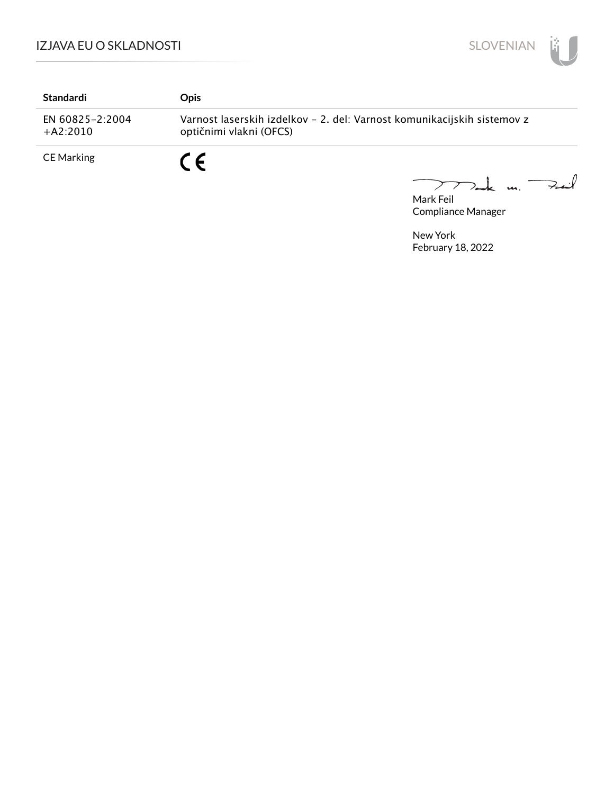# IZJAVA EU O SKLADNOSTI



| Standardi                     | <b>Opis</b>                                                                                        |
|-------------------------------|----------------------------------------------------------------------------------------------------|
| EN 60825-2:2004<br>$+A2:2010$ | Varnost laserskih izdelkov - 2. del: Varnost komunikacijskih sistemov z<br>optičnimi vlakni (OFCS) |
| <b>CE Marking</b>             | C E                                                                                                |

 $\sum_{n=k}$  un. Fait Mark Feil

Compliance Manager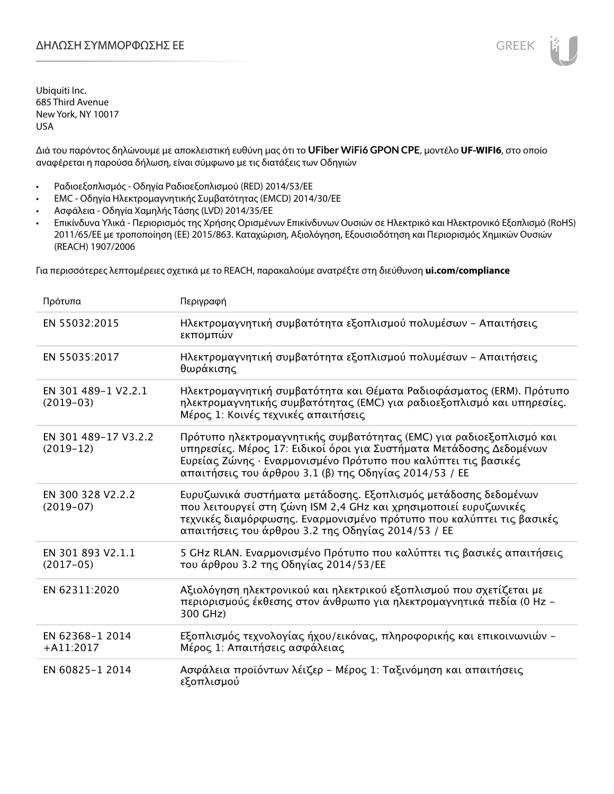Διά του παρόντος δηλώνουμε με αποκλειστική ευθύνη μας ότι το **UFiber WiFi6 GPON CPE**, μοντέλο **UF-WIFI6**, στο οποίο αναφέρεται η παρούσα δήλωση, είναι σύμφωνο με τις διατάξεις των Οδηγιών

- Ραδιοεξοπλισμός Οδηγία Ραδιοεξοπλισμού (RED) 2014/53/ΕΕ
- EMC Οδηγία Ηλεκτρομαγνητικής Συμβατότητας (EMCD) 2014/30/ΕΕ
- Ασφάλεια Οδηγία Χαμηλής Τάσης (LVD) 2014/35/ΕΕ
- Επικίνδυνα Υλικά Περιορισμός της Χρήσης Ορισμένων Επικίνδυνων Ουσιών σε Ηλεκτρικό και Ηλεκτρονικό Εξοπλισμό (RoHS) 2011/65/ΕΕ με τροποποίηση (ΕΕ) 2015/863. Καταχώριση, Αξιολόγηση, Εξουσιοδότηση και Περιορισμός Χημικών Ουσιών (REACH) 1907/2006

Για περισσότερες λεπτομέρειες σχετικά με το REACH, παρακαλούμε ανατρέξτε στη διεύθυνση **ui.com/compliance**

| Πρότυπα                             | Περιγραφή                                                                                                                                                                                                                                                              |
|-------------------------------------|------------------------------------------------------------------------------------------------------------------------------------------------------------------------------------------------------------------------------------------------------------------------|
| EN 55032:2015                       | Ηλεκτρομαγνητική συμβατότητα εξοπλισμού πολυμέσων - Απαιτήσεις<br>εκπομπών                                                                                                                                                                                             |
| EN 55035:2017                       | Ηλεκτρομαγνητική συμβατότητα εξοπλισμού πολυμέσων - Απαιτήσεις<br>θωράκισης                                                                                                                                                                                            |
| EN 301 489-1 V2.2.1<br>$(2019-03)$  | Ηλεκτρομαγνητική συμβατότητα και Θέματα Ραδιοφάσματος (ERM). Πρότυπο<br>ηλεκτρομαγνητικής συμβατότητας (EMC) για ραδιοεξοπλισμό και υπηρεσίες.<br>Μέρος 1: Κοινές τεχνικές απαιτήσεις                                                                                  |
| EN 301 489-17 V3.2.2<br>$(2019-12)$ | Πρότυπο ηλεκτρομαγνητικής συμβατότητας (ΕΜC) για ραδιοεξοπλισμό και<br>υπηρεσίες. Μέρος 17: Ειδικοί όροι για Συστήματα Μετάδοσης Δεδομένων<br>Ευρείας Ζώνης · Εναρμονισμένο Πρότυπο που καλύπτει τις βασικές<br>απαιτήσεις του άρθρου 3.1 (β) της Οδηγίας 2014/53 / ΕΕ |
| EN 300 328 V2.2.2<br>$(2019-07)$    | Ευρυζωνικά συστήματα μετάδοσης. Εξοπλισμός μετάδοσης δεδομένων<br>που λειτουργεί στη ζώνη ISM 2,4 GHz και χρησιμοποιεί ευρυζωνικές<br>τεχνικές διαμόρφωσης. Εναρμονισμένο πρότυπο που καλύπτει τις βασικές<br>απαιτήσεις του άρθρου 3.2 της Οδηγίας 2014/53 / ΕΕ       |
| EN 301 893 V2.1.1<br>$(2017-05)$    | 5 GHz RLAN. Εναρμονισμένο Πρότυπο που καλύπτει τις βασικές απαιτήσεις<br>του άρθρου 3.2 της Οδηγίας 2014/53/ΕΕ                                                                                                                                                         |
| EN 62311:2020                       | Αξιολόγηση ηλεκτρονικού και ηλεκτρικού εξοπλισμού που σχετίζεται με<br>περιορισμούς έκθεσης στον άνθρωπο για ηλεκτρομαγνητικά πεδία (0 Hz –<br>300 GHz)                                                                                                                |
| EN 62368-1 2014<br>$+A11:2017$      | Εξοπλισμός τεχνολογίας ήχου/εικόνας, πληροφορικής και επικοινωνιών -<br>Μέρος 1: Απαιτήσεις ασφάλειας                                                                                                                                                                  |
| EN 60825-1 2014                     | Ασφάλεια προϊόντων λέιζερ - Μέρος 1: Ταξινόμηση και απαιτήσεις<br>εξοπλισμού                                                                                                                                                                                           |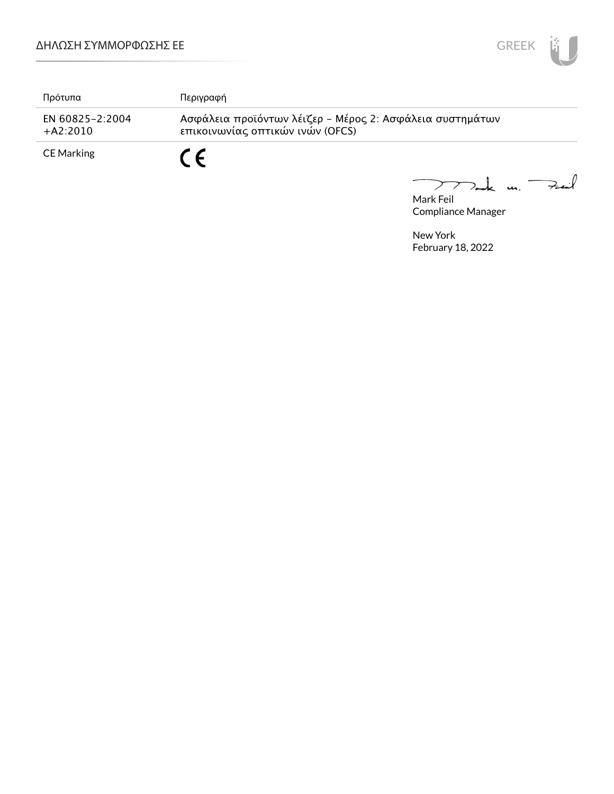

| Πρότυπα                       | Περιγραφή                                                                                    |
|-------------------------------|----------------------------------------------------------------------------------------------|
| EN 60825-2:2004<br>$+A2:2010$ | Ασφάλεια προϊόντων λέιζερ - Μέρος 2: Ασφάλεια συστημάτων<br>επικοινωνίας οπτικών ινών (OFCS) |
| CE Marking                    |                                                                                              |

Mark Feil<br>Mark Feil  $\overbrace{\phantom{aaaaa}}^{x}$ 

Compliance Manager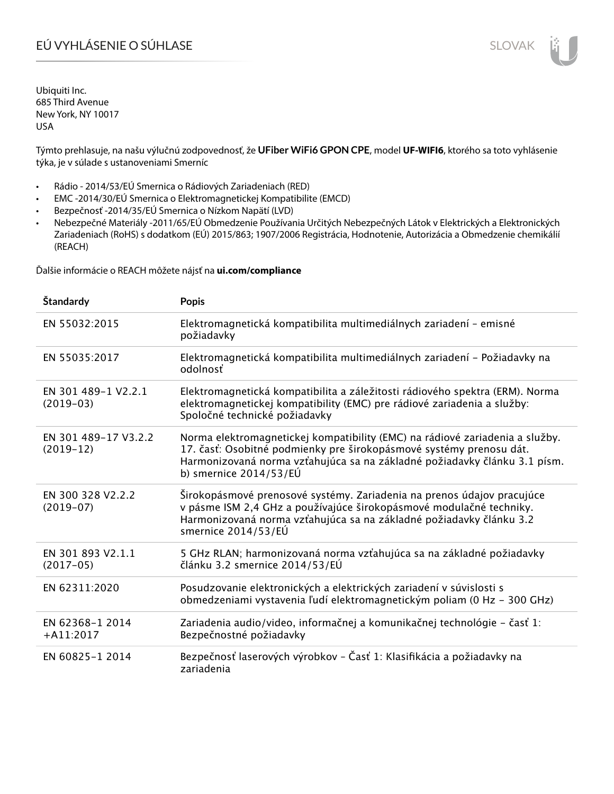# EÚ VYHLÁSENIE O SÚHLASE SLOVAK SLOVAK

Ubiquiti Inc. 685 Third Avenue New York, NY 10017 USA

Týmto prehlasuje, na našu výlučnú zodpovednosť, že **UFiber WiFi6 GPON CPE**, model **UF-WIFI6**, ktorého sa toto vyhlásenie týka, je v súlade s ustanoveniami Smerníc

- Rádio 2014/53/EÚ Smernica o Rádiových Zariadeniach (RED)
- EMC -2014/30/EÚ Smernica o Elektromagnetickej Kompatibilite (EMCD)
- Bezpečnosť -2014/35/EÚ Smernica o Nízkom Napätí (LVD)
- Nebezpečné Materiály -2011/65/EÚ Obmedzenie Používania Určitých Nebezpečných Látok v Elektrických a Elektronických Zariadeniach (RoHS) s dodatkom (EÚ) 2015/863; 1907/2006 Registrácia, Hodnotenie, Autorizácia a Obmedzenie chemikálií (REACH)

Ďalšie informácie o REACH môžete nájsť na **ui.com/compliance**

| Štandardy                           | <b>Popis</b>                                                                                                                                                                                                                                                 |
|-------------------------------------|--------------------------------------------------------------------------------------------------------------------------------------------------------------------------------------------------------------------------------------------------------------|
| EN 55032:2015                       | Elektromagnetická kompatibilita multimediálnych zariadení - emisné<br>požiadavky                                                                                                                                                                             |
| EN 55035:2017                       | Elektromagnetická kompatibilita multimediálnych zariadení – Požiadavky na<br>odolnosť                                                                                                                                                                        |
| EN 301 489-1 V2.2.1<br>$(2019-03)$  | Elektromagnetická kompatibilita a záležitosti rádiového spektra (ERM). Norma<br>elektromagnetickej kompatibility (EMC) pre rádiové zariadenia a služby:<br>Spoločné technické požiadavky                                                                     |
| EN 301 489-17 V3.2.2<br>$(2019-12)$ | Norma elektromagnetickej kompatibility (EMC) na rádiové zariadenia a služby.<br>17. časť: Osobitné podmienky pre širokopásmové systémy prenosu dát.<br>Harmonizovaná norma vzťahujúca sa na základné požiadavky článku 3.1 písm.<br>b) smernice $2014/53/EU$ |
| EN 300 328 V2.2.2<br>$(2019-07)$    | Širokopásmové prenosové systémy. Zariadenia na prenos údajov pracujúce<br>v pásme ISM 2,4 GHz a používajúce širokopásmové modulačné techniky.<br>Harmonizovaná norma vzťahujúca sa na základné požiadavky článku 3.2<br>smernice 2014/53/EÚ                  |
| EN 301 893 V2.1.1<br>$(2017-05)$    | 5 GHz RLAN; harmonizovaná norma vzťahujúca sa na základné požiadavky<br>článku 3.2 smernice 2014/53/EÚ                                                                                                                                                       |
| EN 62311:2020                       | Posudzovanie elektronických a elektrických zariadení v súvislosti s<br>obmedzeniami vystavenia ľudí elektromagnetickým poliam (0 Hz - 300 GHz)                                                                                                               |
| EN 62368-1 2014<br>$+$ A11:2017     | Zariadenia audio/video, informačnej a komunikačnej technológie - časť 1:<br>Bezpečnostné požiadavky                                                                                                                                                          |
| EN 60825-1 2014                     | Bezpečnosť laserových výrobkov - Časť 1: Klasifikácia a požiadavky na<br>zariadenia                                                                                                                                                                          |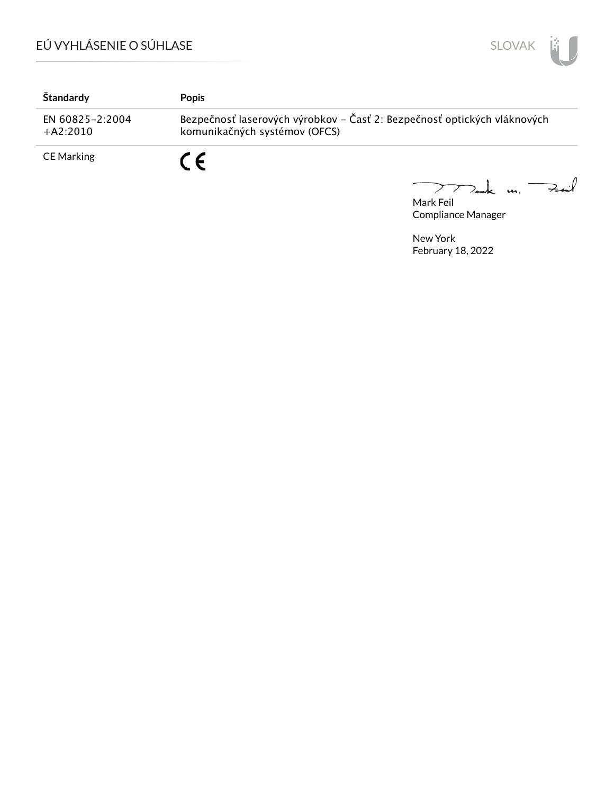

| Štandardy                     | <b>Popis</b>                                                                                              |
|-------------------------------|-----------------------------------------------------------------------------------------------------------|
| EN 60825-2:2004<br>$+A2:2010$ | Bezpečnosť laserových výrobkov - Časť 2: Bezpečnosť optických vláknových<br>komunikačných systémov (OFCS) |
| <b>CE Marking</b>             | C F                                                                                                       |

Mark Feil<br>Mark Feil

Compliance Manager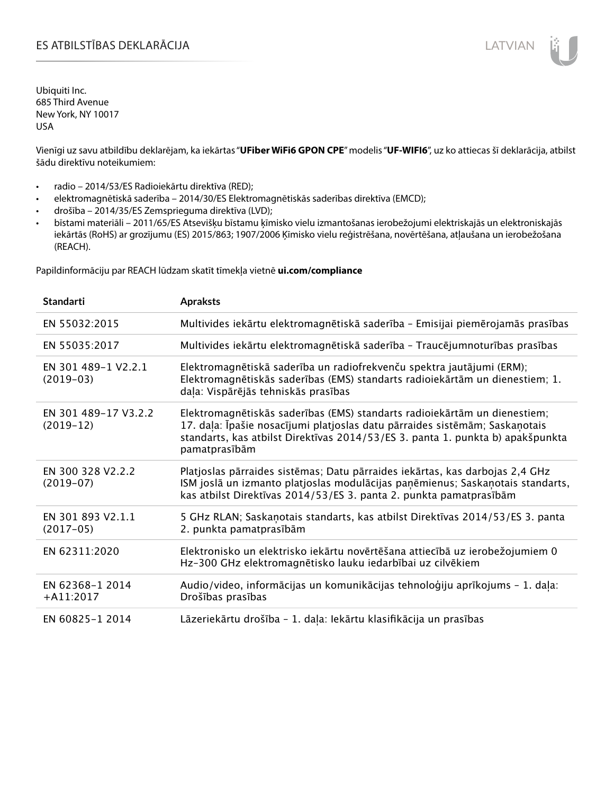# ES ATBILSTĪBAS DEKLARĀCIJA LATVIAN

Ubiquiti Inc. 685 Third Avenue New York, NY 10017 USA

Vienīgi uz savu atbildību deklarējam, ka iekārtas "**UFiber WiFi6 GPON CPE**" modelis "**UF-WIFI6**", uz ko attiecas šī deklarācija, atbilst šādu direktīvu noteikumiem:

- radio 2014/53/ES Radioiekārtu direktīva (RED);
- elektromagnētiskā saderība 2014/30/ES Elektromagnētiskās saderības direktīva (EMCD);
- drošība 2014/35/ES Zemsprieguma direktīva (LVD);
- bīstami materiāli 2011/65/ES Atsevišķu bīstamu ķīmisko vielu izmantošanas ierobežojumi elektriskajās un elektroniskajās iekārtās (RoHS) ar grozījumu (ES) 2015/863; 1907/2006 Ķīmisko vielu reģistrēšana, novērtēšana, atļaušana un ierobežošana (REACH).

Papildinformāciju par REACH lūdzam skatīt tīmekļa vietnē **ui.com/compliance**

| <b>Standarti</b>                    | <b>Apraksts</b>                                                                                                                                                                                                                                             |
|-------------------------------------|-------------------------------------------------------------------------------------------------------------------------------------------------------------------------------------------------------------------------------------------------------------|
| EN 55032:2015                       | Multivides iekārtu elektromagnētiskā saderība - Emisijai piemērojamās prasības                                                                                                                                                                              |
| EN 55035:2017                       | Multivides iekārtu elektromagnētiskā saderība - Traucējumnoturības prasības                                                                                                                                                                                 |
| EN 301 489-1 V2.2.1<br>$(2019-03)$  | Elektromagnētiskā saderība un radiofrekvenču spektra jautājumi (ERM);<br>Elektromagnētiskās saderības (EMS) standarts radioiekārtām un dienestiem; 1.<br>daļa: Vispārējās tehniskās prasības                                                                |
| EN 301 489-17 V3.2.2<br>$(2019-12)$ | Elektromagnētiskās saderības (EMS) standarts radioiekārtām un dienestiem;<br>17. daļa: Īpašie nosacījumi platjoslas datu pārraides sistēmām; Saskaņotais<br>standarts, kas atbilst Direktīvas 2014/53/ES 3. panta 1. punkta b) apakšpunkta<br>pamatprasībām |
| EN 300 328 V2.2.2<br>$(2019-07)$    | Platjoslas pārraides sistēmas; Datu pārraides iekārtas, kas darbojas 2,4 GHz<br>ISM joslā un izmanto platjoslas modulācijas paņēmienus; Saskaņotais standarts,<br>kas atbilst Direktīvas 2014/53/ES 3. panta 2. punkta pamatprasībām                        |
| EN 301 893 V2.1.1<br>$(2017-05)$    | 5 GHz RLAN; Saskaņotais standarts, kas atbilst Direktīvas 2014/53/ES 3. panta<br>2. punkta pamatprasībām                                                                                                                                                    |
| EN 62311:2020                       | Elektronisko un elektrisko iekārtu novērtēšana attiecībā uz ierobežojumiem 0<br>Hz-300 GHz elektromagnētisko lauku iedarbībai uz cilvēkiem                                                                                                                  |
| EN 62368-1 2014<br>$+A11:2017$      | Audio/video, informācijas un komunikācijas tehnoloģiju aprīkojums - 1. daļa:<br>Drošības prasības                                                                                                                                                           |
| EN 60825-1 2014                     | Lāzeriekārtu drošība - 1. daļa: Iekārtu klasifikācija un prasības                                                                                                                                                                                           |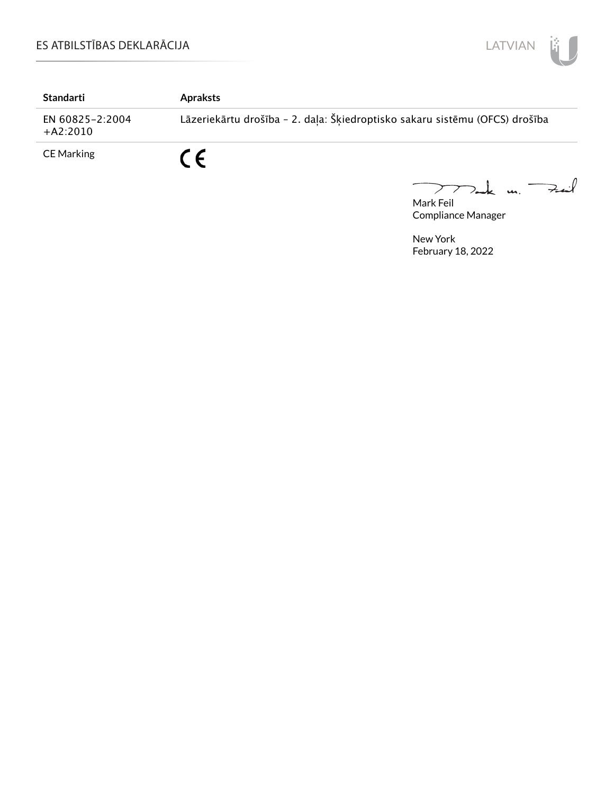

| Standarti                     | <b>Apraksts</b>                                                             |
|-------------------------------|-----------------------------------------------------------------------------|
| EN 60825-2:2004<br>$+A2:2010$ | Lāzeriekārtu drošība - 2. daļa: Šķiedroptisko sakaru sistēmu (OFCS) drošība |
| <b>CE Marking</b>             | $\epsilon$                                                                  |

Mark Feil<br>Mark Feil  $\overline{\phantom{0}}$ 

Compliance Manager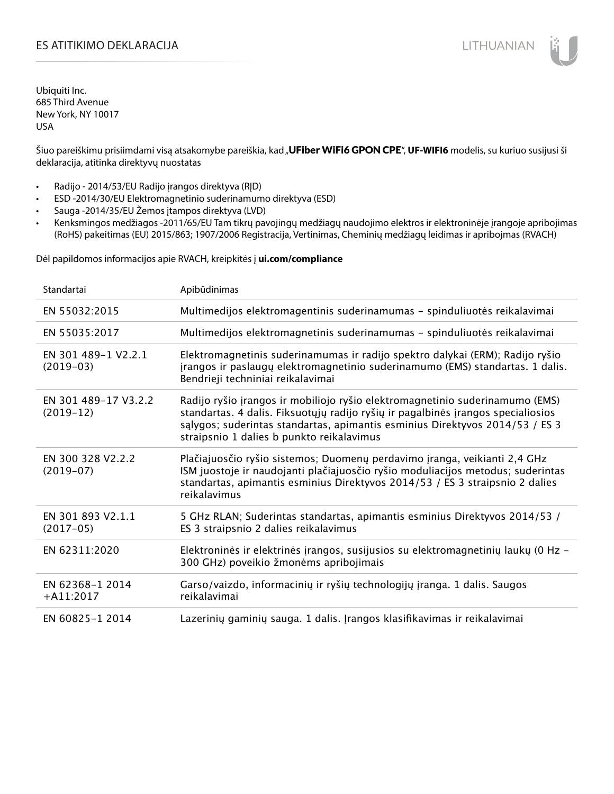## ES ATITIKIMO DEKLARACIJA NA SATITIKIMO DEKLARACIJA NA SATITIKIMO DEKLARACIJA NA SATITIKIMO DE KLARACIJA NA SATI

Ubiquiti Inc. 685 Third Avenue New York, NY 10017 USA

Šiuo pareiškimu prisiimdami visą atsakomybe pareiškia, kad "UFiber WiFi6 GPON CPE", **UF-WIFI6** modelis, su kuriuo susijusi ši deklaracija, atitinka direktyvų nuostatas

- Radijo 2014/53/EU Radijo įrangos direktyva (RĮD)
- ESD -2014/30/EU Elektromagnetinio suderinamumo direktyva (ESD)
- Sauga -2014/35/EU Žemos įtampos direktyva (LVD)
- Kenksmingos medžiagos -2011/65/EU Tam tikrų pavojingų medžiagų naudojimo elektros ir elektroninėje įrangoje apribojimas (RoHS) pakeitimas (EU) 2015/863; 1907/2006 Registracija, Vertinimas, Cheminių medžiagų leidimas ir apribojmas (RVACH)

Dėl papildomos informacijos apie RVACH, kreipkitės į **ui.com/compliance**

| Standartai                          | Apibūdinimas                                                                                                                                                                                                                                                                                  |
|-------------------------------------|-----------------------------------------------------------------------------------------------------------------------------------------------------------------------------------------------------------------------------------------------------------------------------------------------|
| EN 55032:2015                       | Multimedijos elektromagentinis suderinamumas - spinduliuotės reikalavimai                                                                                                                                                                                                                     |
| EN 55035:2017                       | Multimedijos elektromagnetinis suderinamumas - spinduliuotės reikalavimai                                                                                                                                                                                                                     |
| EN 301 489-1 V2.2.1<br>$(2019-03)$  | Elektromagnetinis suderinamumas ir radijo spektro dalykai (ERM); Radijo ryšio<br>įrangos ir paslaugų elektromagnetinio suderinamumo (EMS) standartas. 1 dalis.<br>Bendrieji techniniai reikalavimai                                                                                           |
| EN 301 489-17 V3.2.2<br>$(2019-12)$ | Radijo ryšio įrangos ir mobiliojo ryšio elektromagnetinio suderinamumo (EMS)<br>standartas. 4 dalis. Fiksuotųjų radijo ryšių ir pagalbinės įrangos specialiosios<br>salygos; suderintas standartas, apimantis esminius Direktyvos 2014/53 / ES 3<br>straipsnio 1 dalies b punkto reikalavimus |
| EN 300 328 V2.2.2<br>$(2019-07)$    | Plačiajuosčio ryšio sistemos; Duomenų perdavimo įranga, veikianti 2,4 GHz<br>ISM juostoje ir naudojanti plačiajuosčio ryšio moduliacijos metodus; suderintas<br>standartas, apimantis esminius Direktyvos 2014/53 / ES 3 straipsnio 2 dalies<br>reikalavimus                                  |
| EN 301 893 V2.1.1<br>$(2017-05)$    | 5 GHz RLAN; Suderintas standartas, apimantis esminius Direktyvos 2014/53 /<br>ES 3 straipsnio 2 dalies reikalavimus                                                                                                                                                                           |
| EN 62311:2020                       | Elektroninės ir elektrinės įrangos, susijusios su elektromagnetinių laukų (0 Hz -<br>300 GHz) poveikio žmonėms apribojimais                                                                                                                                                                   |
| EN 62368-1 2014<br>$+$ A11:2017     | Garso/vaizdo, informacinių ir ryšių technologijų įranga. 1 dalis. Saugos<br>reikalavimai                                                                                                                                                                                                      |
| EN 60825-1 2014                     | Lazerinių gaminių sauga. 1 dalis. Įrangos klasifikavimas ir reikalavimai                                                                                                                                                                                                                      |